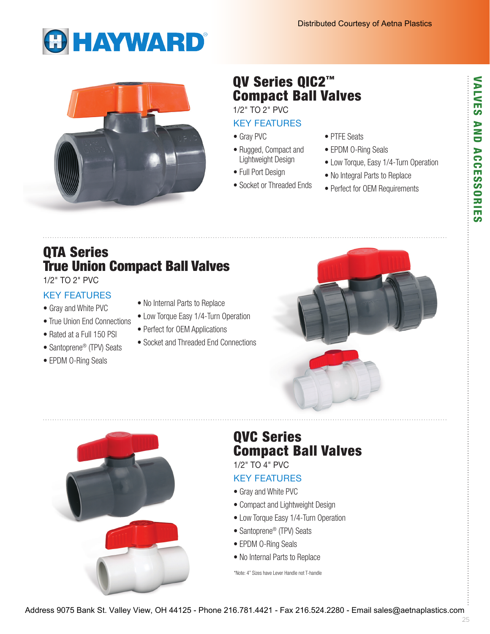# **GHAYWARD®**



## QV Series QIC2™ Compact Ball Valves

1/2" TO 2" PVC

#### KEY FEATURES

- Gray PVC
- Rugged, Compact and Lightweight Design
- Full Port Design
- Socket or Threaded Ends
- PTFE Seats
- EPDM O-Ring Seals
- Low Torque, Easy 1/4-Turn Operation
- No Integral Parts to Replace
- Perfect for OEM Requirements

## QTA Series True Union Compact Ball Valves

1/2" TO 2" PVC

## KEY FEATURES

- Gray and White PVC
- True Union End Connections
- Rated at a Full 150 PSI
- Santoprene<sup>®</sup> (TPV) Seats
- EPDM O-Ring Seals
- No Internal Parts to Replace
- Low Torque Easy 1/4-Turn Operation
- Perfect for OEM Applications
- Socket and Threaded End Connections





## QVC Series Compact Ball Valves

1/2" TO 4" PVC

## KEY FEATURES

- Gray and White PVC
- Compact and Lightweight Design
- Low Torque Easy 1/4-Turn Operation
- Santoprene® (TPV) Seats
- EPDM O-Ring Seals
- No Internal Parts to Replace

\*Note: 4" Sizes have Lever Handle not T-handle